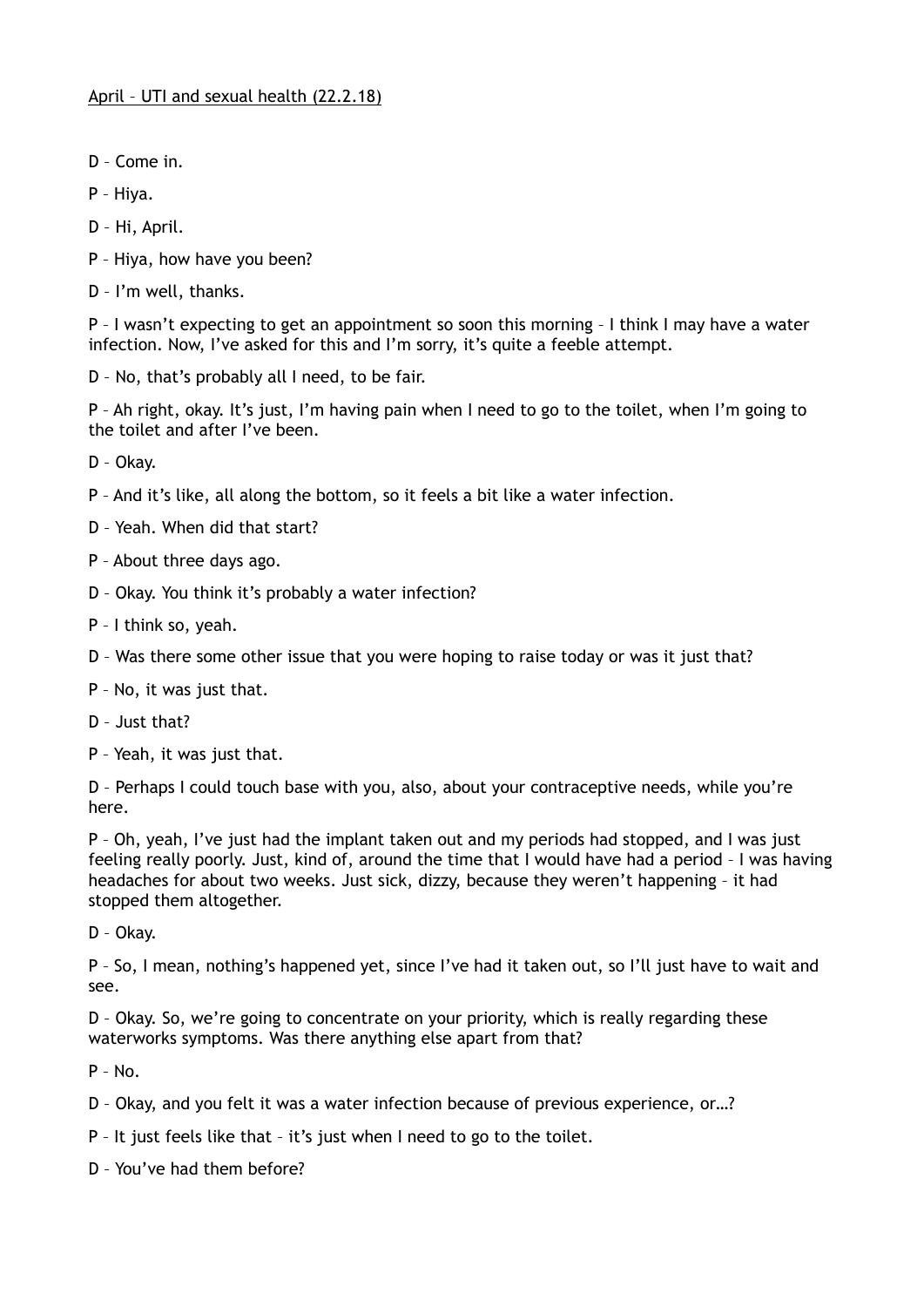- D Come in.
- P Hiya.
- D Hi, April.
- P Hiya, how have you been?
- D I'm well, thanks.

P – I wasn't expecting to get an appointment so soon this morning – I think I may have a water infection. Now, I've asked for this and I'm sorry, it's quite a feeble attempt.

D – No, that's probably all I need, to be fair.

P – Ah right, okay. It's just, I'm having pain when I need to go to the toilet, when I'm going to the toilet and after I've been.

D – Okay.

- P And it's like, all along the bottom, so it feels a bit like a water infection.
- D Yeah. When did that start?
- P About three days ago.
- D Okay. You think it's probably a water infection?
- P I think so, yeah.
- D Was there some other issue that you were hoping to raise today or was it just that?
- P No, it was just that.
- D Just that?
- P Yeah, it was just that.

D – Perhaps I could touch base with you, also, about your contraceptive needs, while you're here.

P – Oh, yeah, I've just had the implant taken out and my periods had stopped, and I was just feeling really poorly. Just, kind of, around the time that I would have had a period – I was having headaches for about two weeks. Just sick, dizzy, because they weren't happening – it had stopped them altogether.

D – Okay.

P – So, I mean, nothing's happened yet, since I've had it taken out, so I'll just have to wait and see.

D – Okay. So, we're going to concentrate on your priority, which is really regarding these waterworks symptoms. Was there anything else apart from that?

 $P - No.$ 

- D Okay, and you felt it was a water infection because of previous experience, or…?
- P It just feels like that it's just when I need to go to the toilet.
- D You've had them before?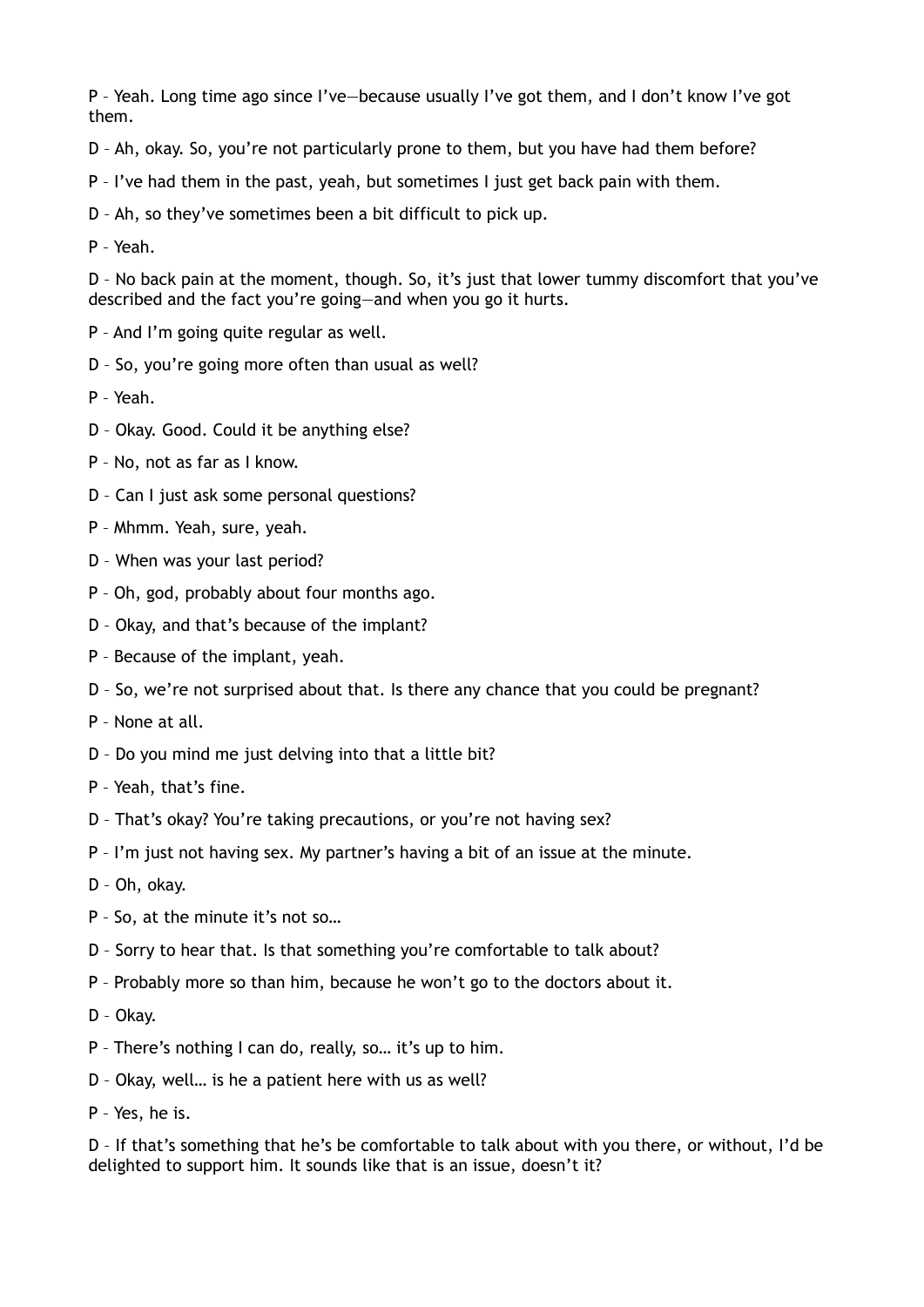P – Yeah. Long time ago since I've—because usually I've got them, and I don't know I've got them.

- D Ah, okay. So, you're not particularly prone to them, but you have had them before?
- P I've had them in the past, yeah, but sometimes I just get back pain with them.
- D Ah, so they've sometimes been a bit difficult to pick up.

P – Yeah.

D – No back pain at the moment, though. So, it's just that lower tummy discomfort that you've described and the fact you're going—and when you go it hurts.

- P And I'm going quite regular as well.
- D So, you're going more often than usual as well?
- P Yeah.
- D Okay. Good. Could it be anything else?
- P No, not as far as I know.
- D Can I just ask some personal questions?
- P Mhmm. Yeah, sure, yeah.
- D When was your last period?
- P Oh, god, probably about four months ago.
- D Okay, and that's because of the implant?
- P Because of the implant, yeah.
- D So, we're not surprised about that. Is there any chance that you could be pregnant?
- P None at all.
- D Do you mind me just delving into that a little bit?
- P Yeah, that's fine.
- D That's okay? You're taking precautions, or you're not having sex?
- P I'm just not having sex. My partner's having a bit of an issue at the minute.
- D Oh, okay.
- P So, at the minute it's not so…
- D Sorry to hear that. Is that something you're comfortable to talk about?
- P Probably more so than him, because he won't go to the doctors about it.
- D Okay.
- P There's nothing I can do, really, so… it's up to him.
- D Okay, well… is he a patient here with us as well?
- P Yes, he is.

D – If that's something that he's be comfortable to talk about with you there, or without, I'd be delighted to support him. It sounds like that is an issue, doesn't it?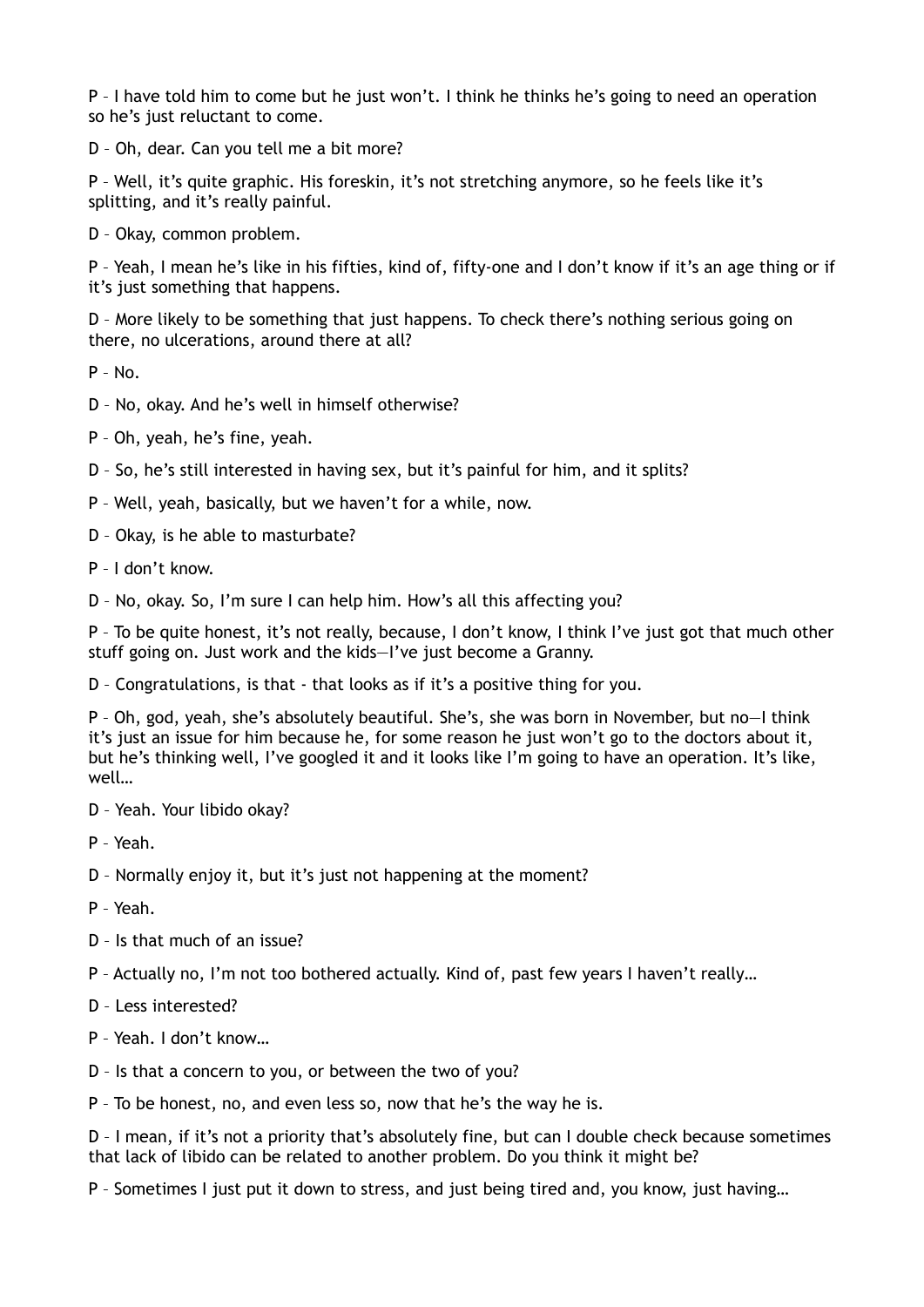P – I have told him to come but he just won't. I think he thinks he's going to need an operation so he's just reluctant to come.

D – Oh, dear. Can you tell me a bit more?

P – Well, it's quite graphic. His foreskin, it's not stretching anymore, so he feels like it's splitting, and it's really painful.

D – Okay, common problem.

P – Yeah, I mean he's like in his fifties, kind of, fifty-one and I don't know if it's an age thing or if it's just something that happens.

D – More likely to be something that just happens. To check there's nothing serious going on there, no ulcerations, around there at all?

 $P - N<sub>0</sub>$ 

- D No, okay. And he's well in himself otherwise?
- P Oh, yeah, he's fine, yeah.
- D So, he's still interested in having sex, but it's painful for him, and it splits?
- P Well, yeah, basically, but we haven't for a while, now.
- D Okay, is he able to masturbate?
- P I don't know.

D – No, okay. So, I'm sure I can help him. How's all this affecting you?

P – To be quite honest, it's not really, because, I don't know, I think I've just got that much other stuff going on. Just work and the kids—I've just become a Granny.

D – Congratulations, is that - that looks as if it's a positive thing for you.

P – Oh, god, yeah, she's absolutely beautiful. She's, she was born in November, but no—I think it's just an issue for him because he, for some reason he just won't go to the doctors about it, but he's thinking well, I've googled it and it looks like I'm going to have an operation. It's like, well…

D – Yeah. Your libido okay?

P – Yeah.

D – Normally enjoy it, but it's just not happening at the moment?

P – Yeah.

D – Is that much of an issue?

P – Actually no, I'm not too bothered actually. Kind of, past few years I haven't really…

D – Less interested?

P – Yeah. I don't know…

D – Is that a concern to you, or between the two of you?

P – To be honest, no, and even less so, now that he's the way he is.

D – I mean, if it's not a priority that's absolutely fine, but can I double check because sometimes that lack of libido can be related to another problem. Do you think it might be?

P – Sometimes I just put it down to stress, and just being tired and, you know, just having…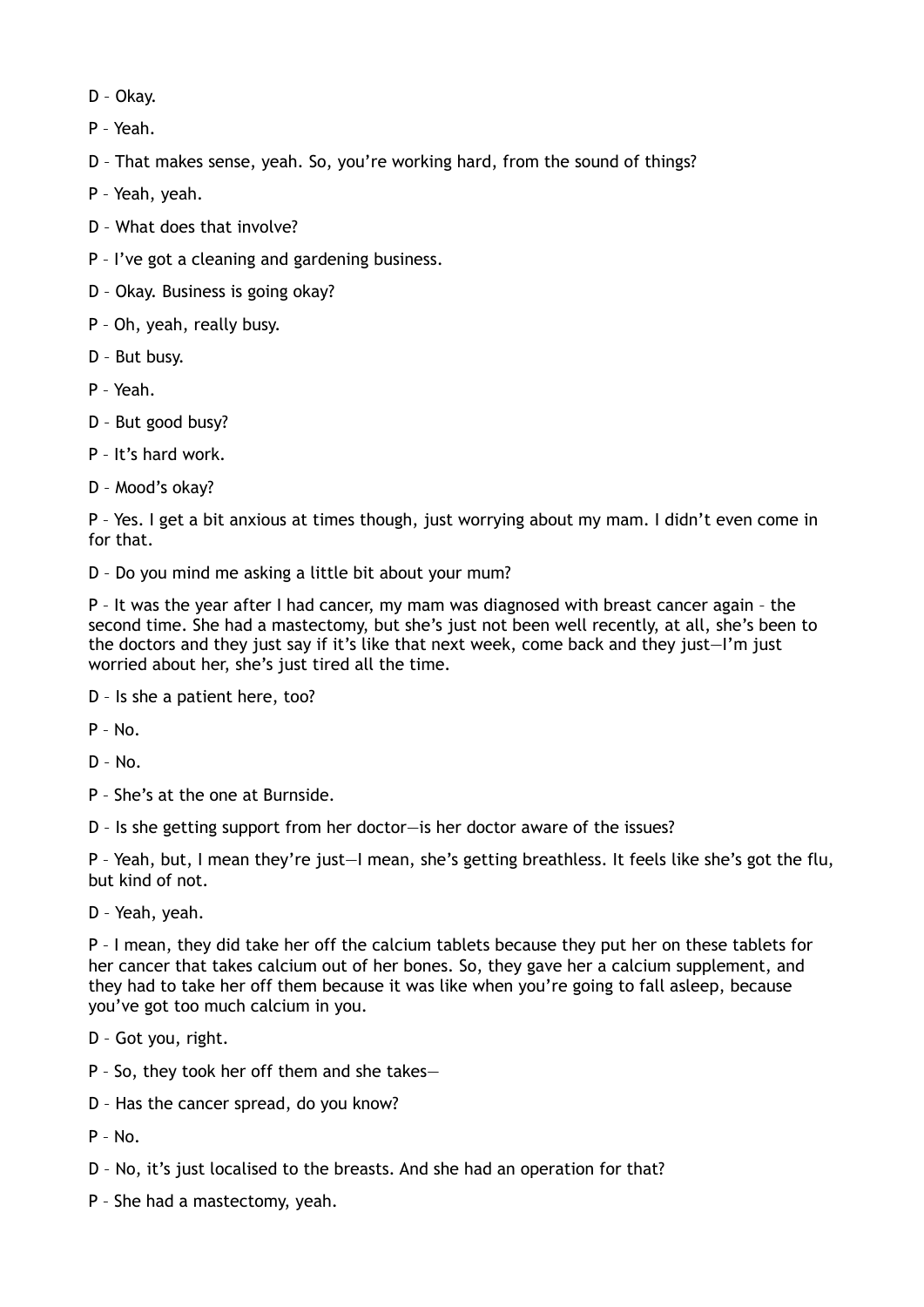- D Okay.
- P Yeah.
- D That makes sense, yeah. So, you're working hard, from the sound of things?
- P Yeah, yeah.
- D What does that involve?
- P I've got a cleaning and gardening business.
- D Okay. Business is going okay?
- P Oh, yeah, really busy.
- D But busy.
- P Yeah.
- D But good busy?
- P It's hard work.
- D Mood's okay?

P – Yes. I get a bit anxious at times though, just worrying about my mam. I didn't even come in for that.

D – Do you mind me asking a little bit about your mum?

P – It was the year after I had cancer, my mam was diagnosed with breast cancer again – the second time. She had a mastectomy, but she's just not been well recently, at all, she's been to the doctors and they just say if it's like that next week, come back and they just—I'm just worried about her, she's just tired all the time.

D – Is she a patient here, too?

 $P - No$ .

- $D No$ .
- P She's at the one at Burnside.
- D Is she getting support from her doctor—is her doctor aware of the issues?

P – Yeah, but, I mean they're just—I mean, she's getting breathless. It feels like she's got the flu, but kind of not.

D – Yeah, yeah.

P – I mean, they did take her off the calcium tablets because they put her on these tablets for her cancer that takes calcium out of her bones. So, they gave her a calcium supplement, and they had to take her off them because it was like when you're going to fall asleep, because you've got too much calcium in you.

- D Got you, right.
- P So, they took her off them and she takes—
- D Has the cancer spread, do you know?

 $P - No.$ 

- D No, it's just localised to the breasts. And she had an operation for that?
- P She had a mastectomy, yeah.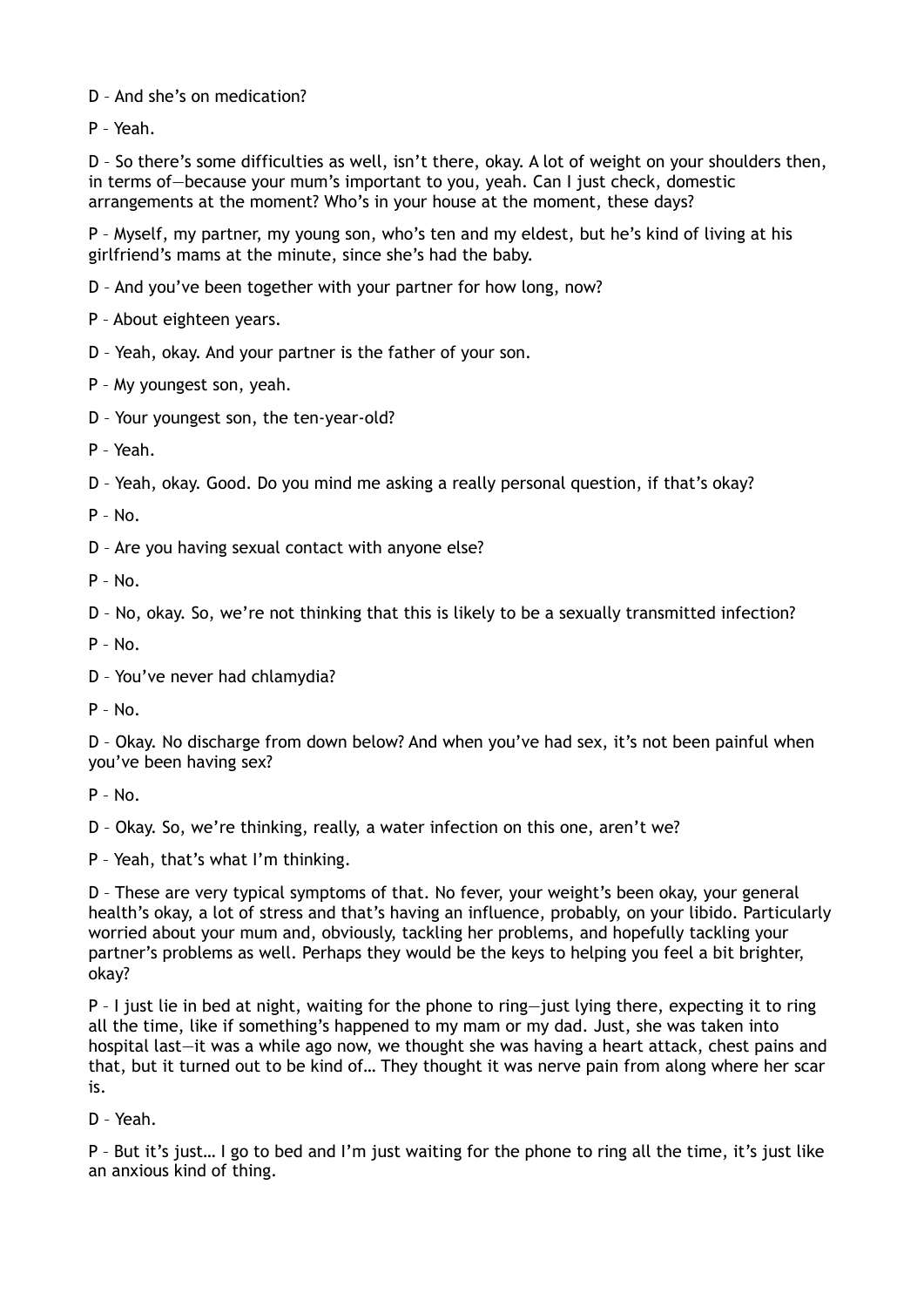D – And she's on medication?

P – Yeah.

D – So there's some difficulties as well, isn't there, okay. A lot of weight on your shoulders then, in terms of—because your mum's important to you, yeah. Can I just check, domestic arrangements at the moment? Who's in your house at the moment, these days?

P – Myself, my partner, my young son, who's ten and my eldest, but he's kind of living at his girlfriend's mams at the minute, since she's had the baby.

D – And you've been together with your partner for how long, now?

P – About eighteen years.

D – Yeah, okay. And your partner is the father of your son.

P – My youngest son, yeah.

D – Your youngest son, the ten-year-old?

P – Yeah.

D – Yeah, okay. Good. Do you mind me asking a really personal question, if that's okay?

 $P - No$ .

D – Are you having sexual contact with anyone else?

 $P - No$ .

D – No, okay. So, we're not thinking that this is likely to be a sexually transmitted infection?

P – No.

D – You've never had chlamydia?

 $P - No$ .

D – Okay. No discharge from down below? And when you've had sex, it's not been painful when you've been having sex?

P – No.

D – Okay. So, we're thinking, really, a water infection on this one, aren't we?

P – Yeah, that's what I'm thinking.

D – These are very typical symptoms of that. No fever, your weight's been okay, your general health's okay, a lot of stress and that's having an influence, probably, on your libido. Particularly worried about your mum and, obviously, tackling her problems, and hopefully tackling your partner's problems as well. Perhaps they would be the keys to helping you feel a bit brighter, okay?

P – I just lie in bed at night, waiting for the phone to ring—just lying there, expecting it to ring all the time, like if something's happened to my mam or my dad. Just, she was taken into hospital last—it was a while ago now, we thought she was having a heart attack, chest pains and that, but it turned out to be kind of… They thought it was nerve pain from along where her scar is.

D – Yeah.

P – But it's just… I go to bed and I'm just waiting for the phone to ring all the time, it's just like an anxious kind of thing.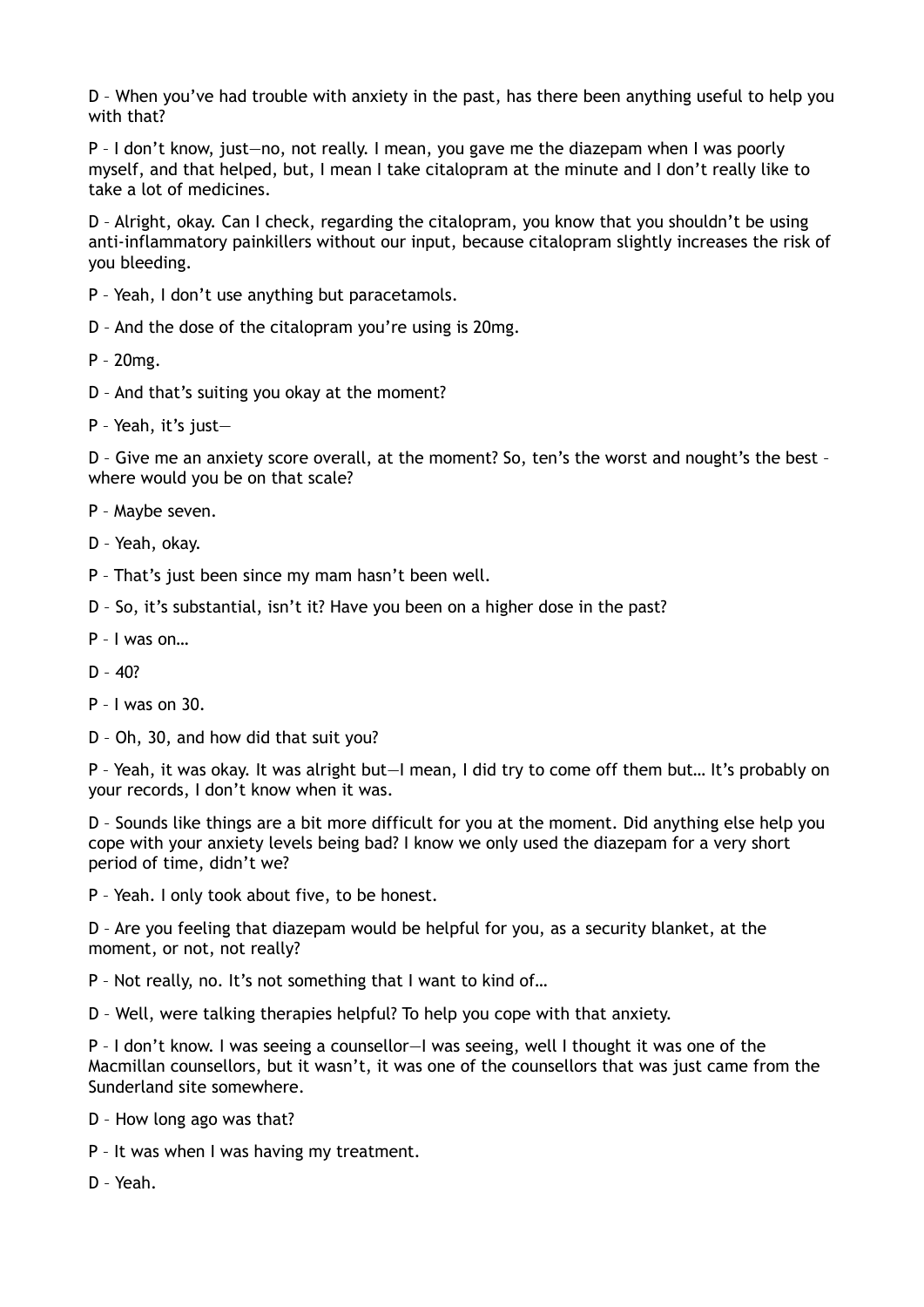D – When you've had trouble with anxiety in the past, has there been anything useful to help you with that?

P – I don't know, just—no, not really. I mean, you gave me the diazepam when I was poorly myself, and that helped, but, I mean I take citalopram at the minute and I don't really like to take a lot of medicines.

D – Alright, okay. Can I check, regarding the citalopram, you know that you shouldn't be using anti-inflammatory painkillers without our input, because citalopram slightly increases the risk of you bleeding.

- P Yeah, I don't use anything but paracetamols.
- D And the dose of the citalopram you're using is 20mg.
- P 20mg.
- D And that's suiting you okay at the moment?
- P Yeah, it's just—

D – Give me an anxiety score overall, at the moment? So, ten's the worst and nought's the best – where would you be on that scale?

- P Maybe seven.
- D Yeah, okay.
- P That's just been since my mam hasn't been well.
- D So, it's substantial, isn't it? Have you been on a higher dose in the past?
- P I was on…
- $D 40?$
- P I was on 30.
- D Oh, 30, and how did that suit you?

P – Yeah, it was okay. It was alright but—I mean, I did try to come off them but… It's probably on your records, I don't know when it was.

D – Sounds like things are a bit more difficult for you at the moment. Did anything else help you cope with your anxiety levels being bad? I know we only used the diazepam for a very short period of time, didn't we?

P – Yeah. I only took about five, to be honest.

D – Are you feeling that diazepam would be helpful for you, as a security blanket, at the moment, or not, not really?

P – Not really, no. It's not something that I want to kind of…

D – Well, were talking therapies helpful? To help you cope with that anxiety.

P – I don't know. I was seeing a counsellor—I was seeing, well I thought it was one of the Macmillan counsellors, but it wasn't, it was one of the counsellors that was just came from the Sunderland site somewhere.

- D How long ago was that?
- P It was when I was having my treatment.
- D Yeah.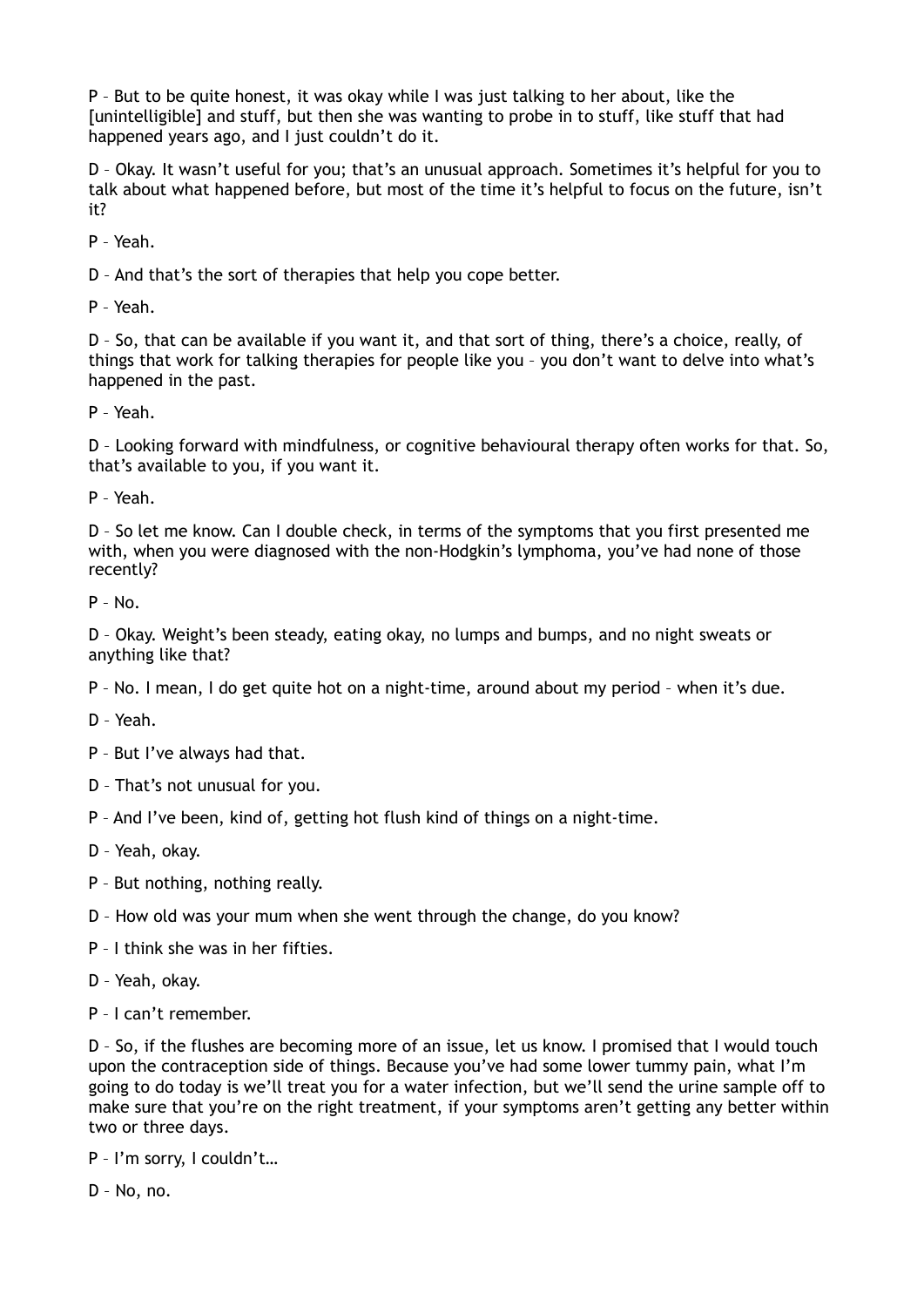P – But to be quite honest, it was okay while I was just talking to her about, like the [unintelligible] and stuff, but then she was wanting to probe in to stuff, like stuff that had happened years ago, and I just couldn't do it.

D – Okay. It wasn't useful for you; that's an unusual approach. Sometimes it's helpful for you to talk about what happened before, but most of the time it's helpful to focus on the future, isn't it?

P – Yeah.

D – And that's the sort of therapies that help you cope better.

P – Yeah.

D – So, that can be available if you want it, and that sort of thing, there's a choice, really, of things that work for talking therapies for people like you – you don't want to delve into what's happened in the past.

P – Yeah.

D – Looking forward with mindfulness, or cognitive behavioural therapy often works for that. So, that's available to you, if you want it.

P – Yeah.

D – So let me know. Can I double check, in terms of the symptoms that you first presented me with, when you were diagnosed with the non-Hodgkin's lymphoma, you've had none of those recently?

P – No.

D – Okay. Weight's been steady, eating okay, no lumps and bumps, and no night sweats or anything like that?

P – No. I mean, I do get quite hot on a night-time, around about my period – when it's due.

D – Yeah.

P – But I've always had that.

D – That's not unusual for you.

P – And I've been, kind of, getting hot flush kind of things on a night-time.

D – Yeah, okay.

P – But nothing, nothing really.

D – How old was your mum when she went through the change, do you know?

P – I think she was in her fifties.

D – Yeah, okay.

P – I can't remember.

D – So, if the flushes are becoming more of an issue, let us know. I promised that I would touch upon the contraception side of things. Because you've had some lower tummy pain, what I'm going to do today is we'll treat you for a water infection, but we'll send the urine sample off to make sure that you're on the right treatment, if your symptoms aren't getting any better within two or three days.

P – I'm sorry, I couldn't…

D – No, no.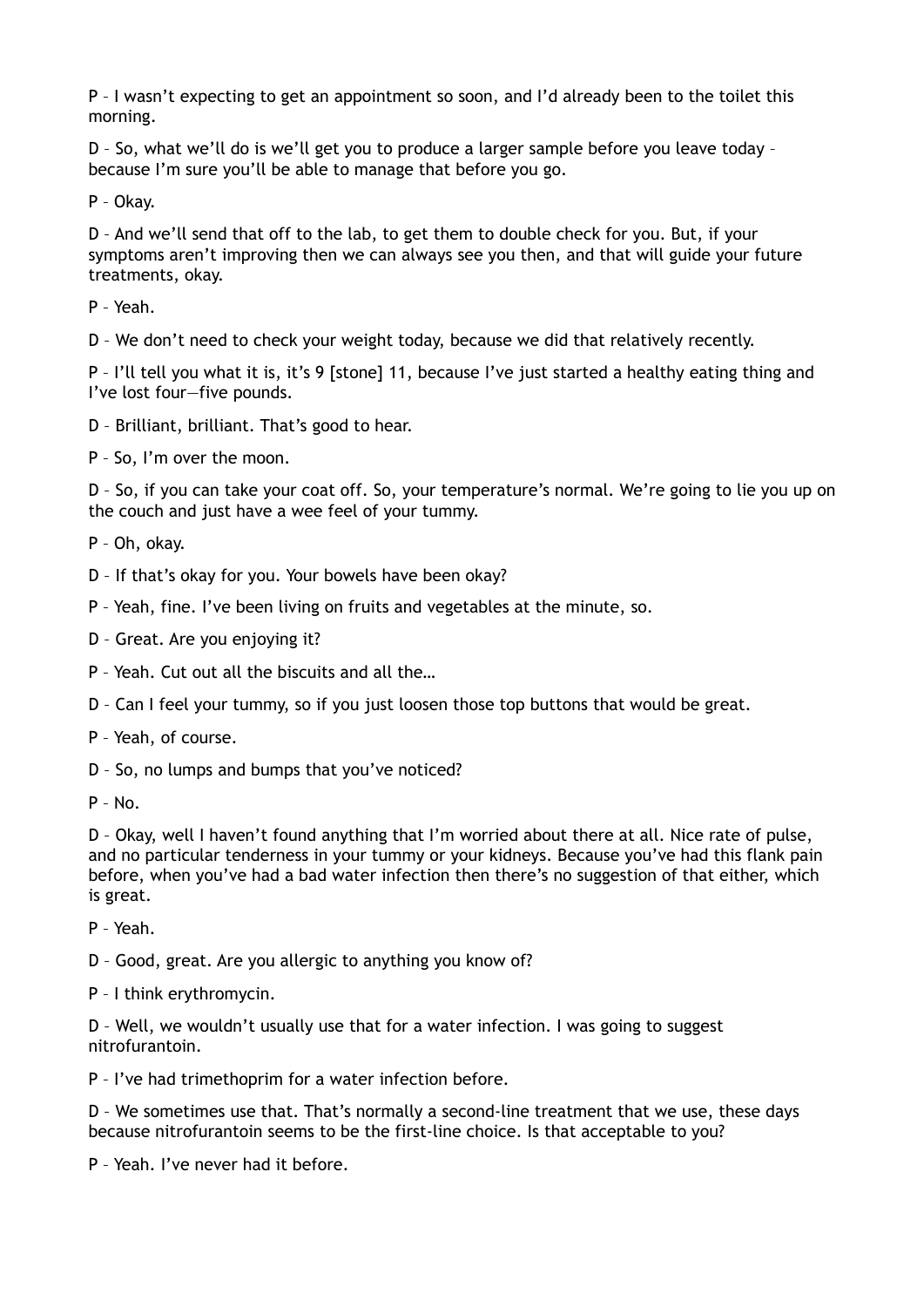P – I wasn't expecting to get an appointment so soon, and I'd already been to the toilet this morning.

D – So, what we'll do is we'll get you to produce a larger sample before you leave today – because I'm sure you'll be able to manage that before you go.

P – Okay.

D – And we'll send that off to the lab, to get them to double check for you. But, if your symptoms aren't improving then we can always see you then, and that will guide your future treatments, okay.

P – Yeah.

D – We don't need to check your weight today, because we did that relatively recently.

P – I'll tell you what it is, it's 9 [stone] 11, because I've just started a healthy eating thing and I've lost four—five pounds.

D – Brilliant, brilliant. That's good to hear.

P – So, I'm over the moon.

D – So, if you can take your coat off. So, your temperature's normal. We're going to lie you up on the couch and just have a wee feel of your tummy.

- P Oh, okay.
- D If that's okay for you. Your bowels have been okay?
- P Yeah, fine. I've been living on fruits and vegetables at the minute, so.
- D Great. Are you enjoying it?
- P Yeah. Cut out all the biscuits and all the…
- D Can I feel your tummy, so if you just loosen those top buttons that would be great.
- P Yeah, of course.

D – So, no lumps and bumps that you've noticed?

 $P - No$ .

D – Okay, well I haven't found anything that I'm worried about there at all. Nice rate of pulse, and no particular tenderness in your tummy or your kidneys. Because you've had this flank pain before, when you've had a bad water infection then there's no suggestion of that either, which is great.

P – Yeah.

D – Good, great. Are you allergic to anything you know of?

P – I think erythromycin.

D – Well, we wouldn't usually use that for a water infection. I was going to suggest nitrofurantoin.

P – I've had trimethoprim for a water infection before.

D – We sometimes use that. That's normally a second-line treatment that we use, these days because nitrofurantoin seems to be the first-line choice. Is that acceptable to you?

P – Yeah. I've never had it before.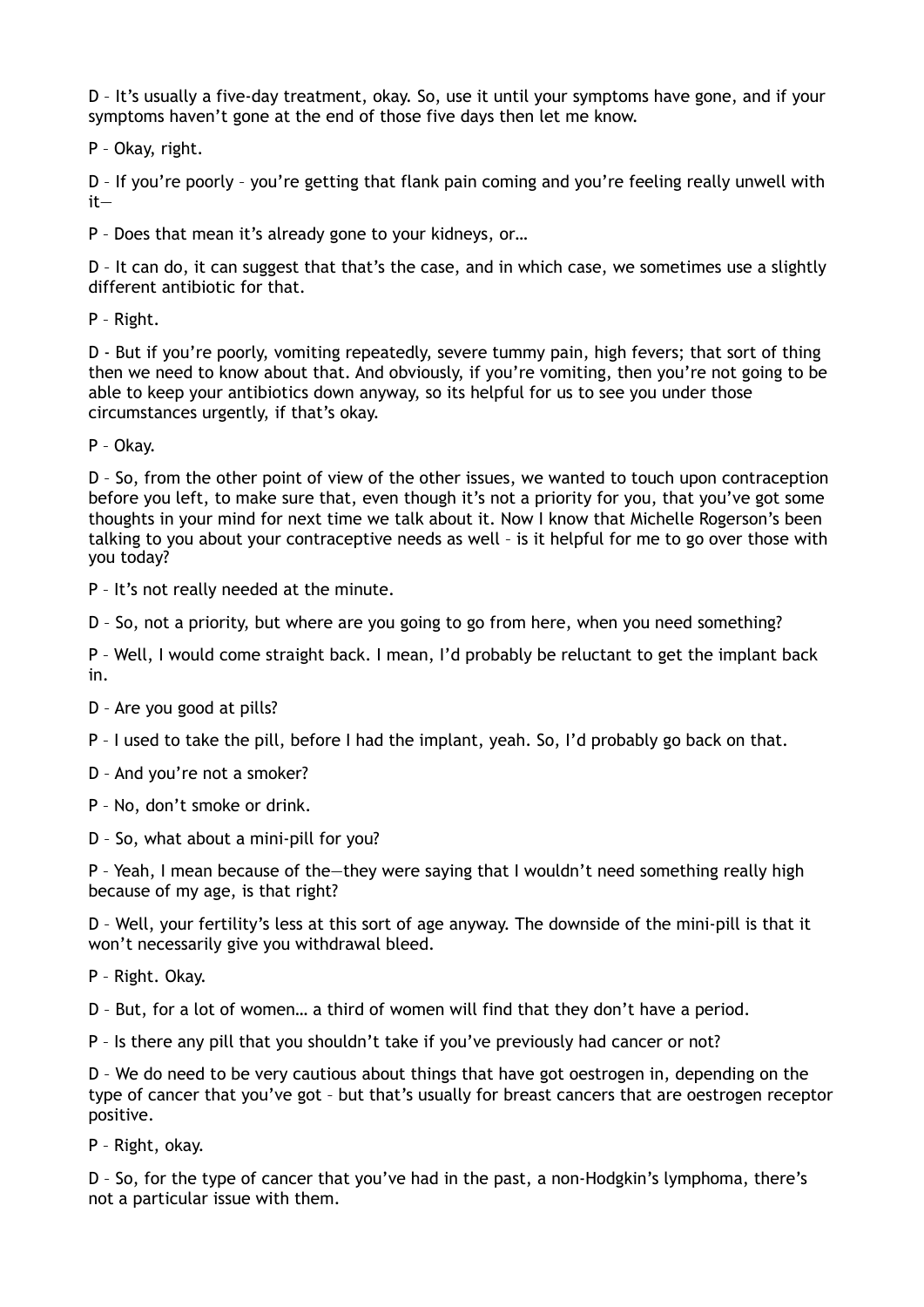D – It's usually a five-day treatment, okay. So, use it until your symptoms have gone, and if your symptoms haven't gone at the end of those five days then let me know.

P – Okay, right.

D – If you're poorly – you're getting that flank pain coming and you're feeling really unwell with it—

P – Does that mean it's already gone to your kidneys, or…

D – It can do, it can suggest that that's the case, and in which case, we sometimes use a slightly different antibiotic for that.

P – Right.

D - But if you're poorly, vomiting repeatedly, severe tummy pain, high fevers; that sort of thing then we need to know about that. And obviously, if you're vomiting, then you're not going to be able to keep your antibiotics down anyway, so its helpful for us to see you under those circumstances urgently, if that's okay.

P – Okay.

D – So, from the other point of view of the other issues, we wanted to touch upon contraception before you left, to make sure that, even though it's not a priority for you, that you've got some thoughts in your mind for next time we talk about it. Now I know that Michelle Rogerson's been talking to you about your contraceptive needs as well – is it helpful for me to go over those with you today?

P – It's not really needed at the minute.

D – So, not a priority, but where are you going to go from here, when you need something?

P – Well, I would come straight back. I mean, I'd probably be reluctant to get the implant back in.

D – Are you good at pills?

P – I used to take the pill, before I had the implant, yeah. So, I'd probably go back on that.

D – And you're not a smoker?

P – No, don't smoke or drink.

D – So, what about a mini-pill for you?

P – Yeah, I mean because of the—they were saying that I wouldn't need something really high because of my age, is that right?

D – Well, your fertility's less at this sort of age anyway. The downside of the mini-pill is that it won't necessarily give you withdrawal bleed.

P – Right. Okay.

D – But, for a lot of women… a third of women will find that they don't have a period.

P – Is there any pill that you shouldn't take if you've previously had cancer or not?

D – We do need to be very cautious about things that have got oestrogen in, depending on the type of cancer that you've got – but that's usually for breast cancers that are oestrogen receptor positive.

P – Right, okay.

D – So, for the type of cancer that you've had in the past, a non-Hodgkin's lymphoma, there's not a particular issue with them.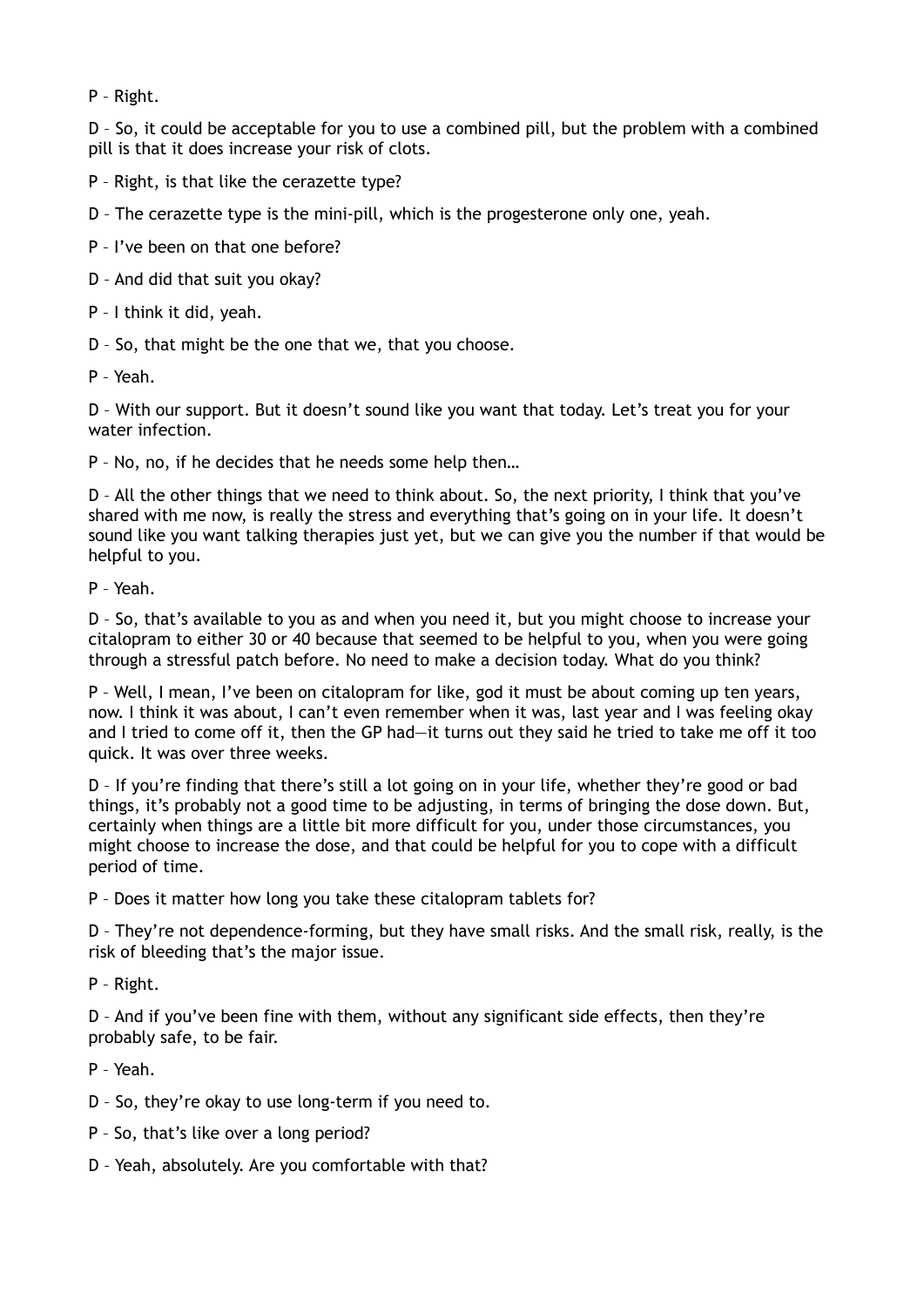P – Right.

D – So, it could be acceptable for you to use a combined pill, but the problem with a combined pill is that it does increase your risk of clots.

P – Right, is that like the cerazette type?

D – The cerazette type is the mini-pill, which is the progesterone only one, yeah.

P – I've been on that one before?

D – And did that suit you okay?

P – I think it did, yeah.

D – So, that might be the one that we, that you choose.

P – Yeah.

D – With our support. But it doesn't sound like you want that today. Let's treat you for your water infection.

P – No, no, if he decides that he needs some help then…

D – All the other things that we need to think about. So, the next priority, I think that you've shared with me now, is really the stress and everything that's going on in your life. It doesn't sound like you want talking therapies just yet, but we can give you the number if that would be helpful to you.

P – Yeah.

D – So, that's available to you as and when you need it, but you might choose to increase your citalopram to either 30 or 40 because that seemed to be helpful to you, when you were going through a stressful patch before. No need to make a decision today. What do you think?

P – Well, I mean, I've been on citalopram for like, god it must be about coming up ten years, now. I think it was about, I can't even remember when it was, last year and I was feeling okay and I tried to come off it, then the GP had—it turns out they said he tried to take me off it too quick. It was over three weeks.

D – If you're finding that there's still a lot going on in your life, whether they're good or bad things, it's probably not a good time to be adjusting, in terms of bringing the dose down. But, certainly when things are a little bit more difficult for you, under those circumstances, you might choose to increase the dose, and that could be helpful for you to cope with a difficult period of time.

P – Does it matter how long you take these citalopram tablets for?

D – They're not dependence-forming, but they have small risks. And the small risk, really, is the risk of bleeding that's the major issue.

P – Right.

D – And if you've been fine with them, without any significant side effects, then they're probably safe, to be fair.

P – Yeah.

D – So, they're okay to use long-term if you need to.

- P So, that's like over a long period?
- D Yeah, absolutely. Are you comfortable with that?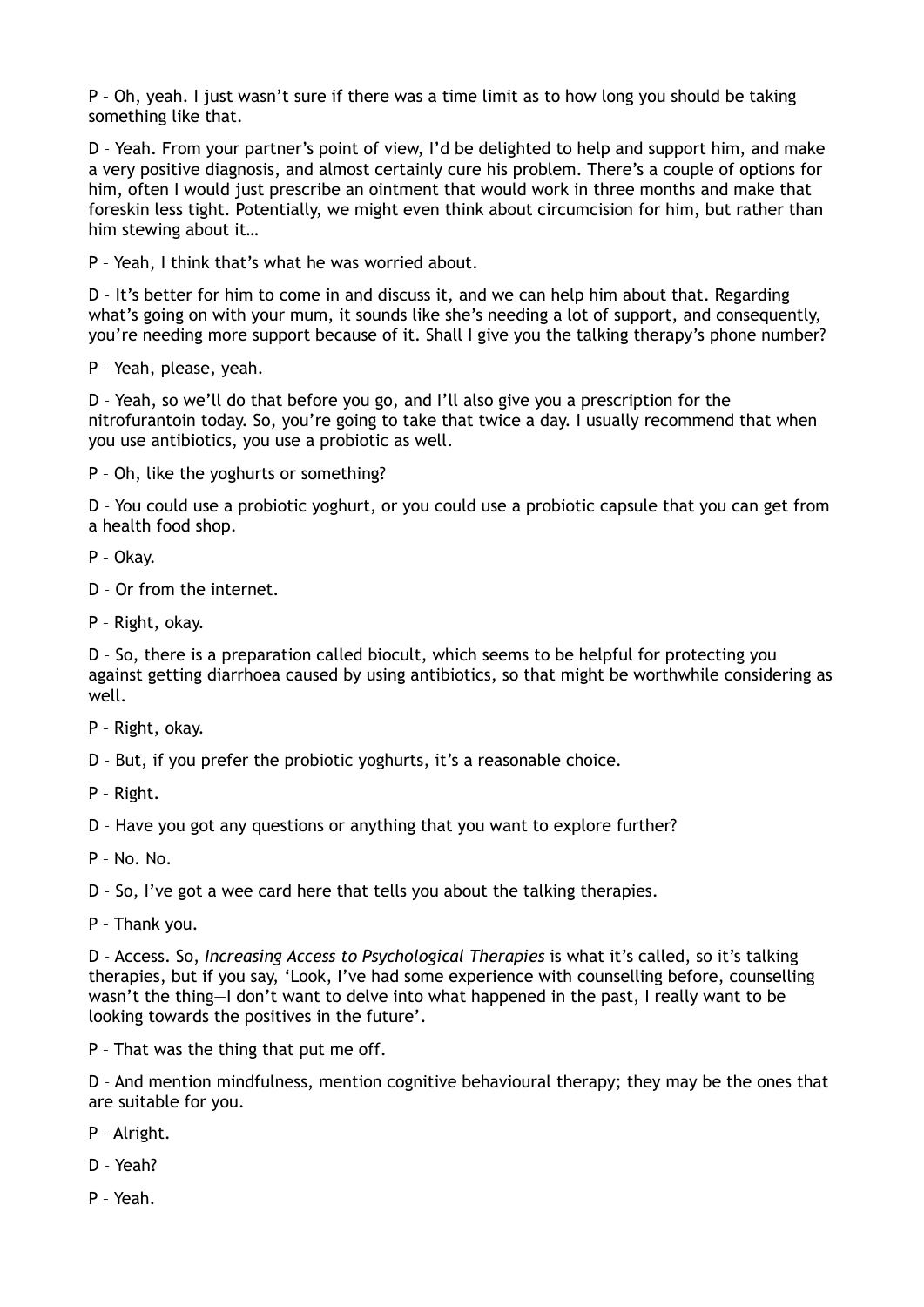P – Oh, yeah. I just wasn't sure if there was a time limit as to how long you should be taking something like that.

D – Yeah. From your partner's point of view, I'd be delighted to help and support him, and make a very positive diagnosis, and almost certainly cure his problem. There's a couple of options for him, often I would just prescribe an ointment that would work in three months and make that foreskin less tight. Potentially, we might even think about circumcision for him, but rather than him stewing about it…

P – Yeah, I think that's what he was worried about.

D – It's better for him to come in and discuss it, and we can help him about that. Regarding what's going on with your mum, it sounds like she's needing a lot of support, and consequently, you're needing more support because of it. Shall I give you the talking therapy's phone number?

P – Yeah, please, yeah.

D – Yeah, so we'll do that before you go, and I'll also give you a prescription for the nitrofurantoin today. So, you're going to take that twice a day. I usually recommend that when you use antibiotics, you use a probiotic as well.

P – Oh, like the yoghurts or something?

D – You could use a probiotic yoghurt, or you could use a probiotic capsule that you can get from a health food shop.

P – Okay.

D – Or from the internet.

P – Right, okay.

D – So, there is a preparation called biocult, which seems to be helpful for protecting you against getting diarrhoea caused by using antibiotics, so that might be worthwhile considering as well.

P – Right, okay.

D – But, if you prefer the probiotic yoghurts, it's a reasonable choice.

P – Right.

D – Have you got any questions or anything that you want to explore further?

P – No. No.

D – So, I've got a wee card here that tells you about the talking therapies.

P – Thank you.

D – Access. So, *Increasing Access to Psychological Therapies* is what it's called, so it's talking therapies, but if you say, 'Look, I've had some experience with counselling before, counselling wasn't the thing—I don't want to delve into what happened in the past, I really want to be looking towards the positives in the future'.

P – That was the thing that put me off.

D – And mention mindfulness, mention cognitive behavioural therapy; they may be the ones that are suitable for you.

- P Alright.
- D Yeah?
- P Yeah.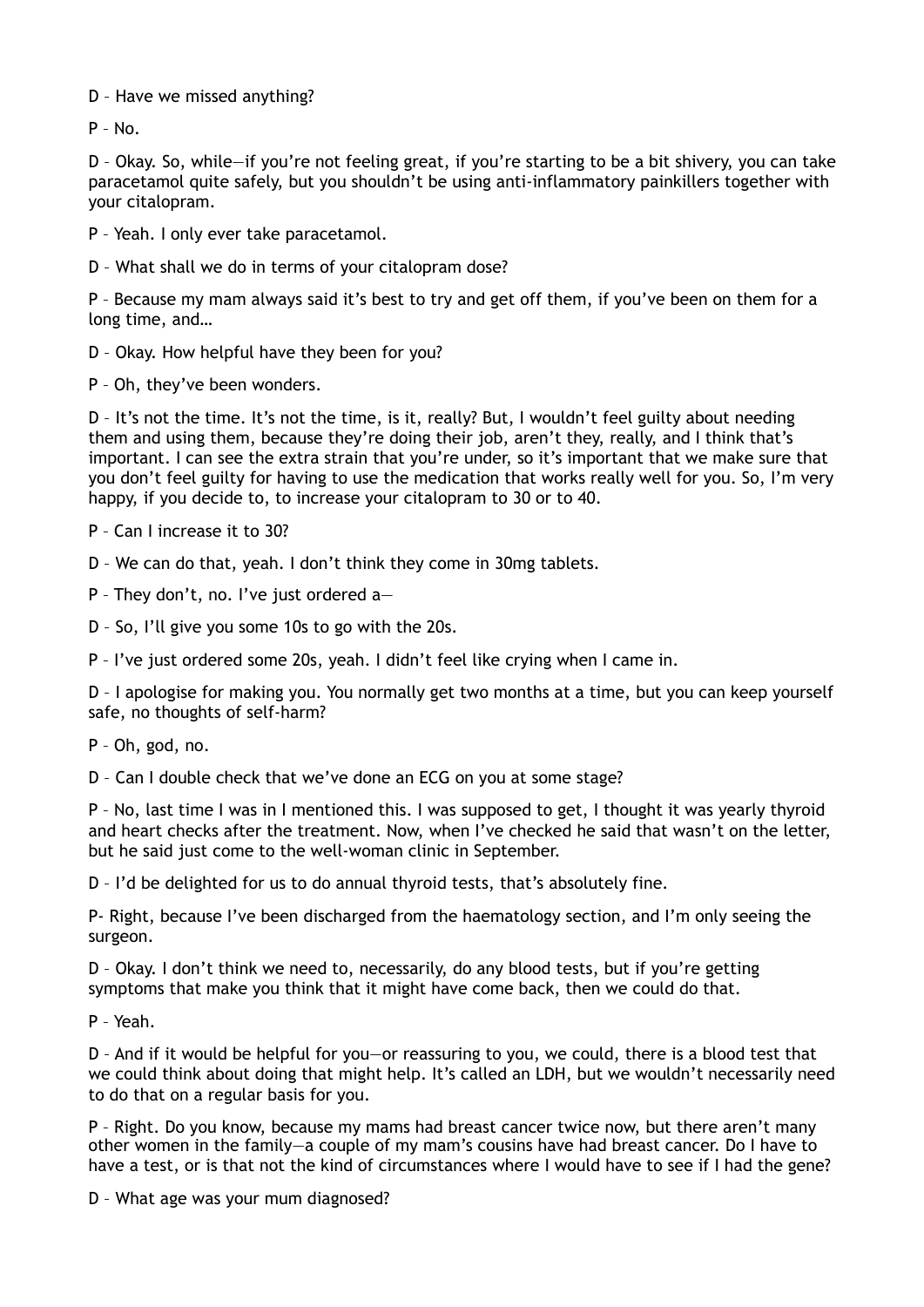D – Have we missed anything?

P – No.

D – Okay. So, while—if you're not feeling great, if you're starting to be a bit shivery, you can take paracetamol quite safely, but you shouldn't be using anti-inflammatory painkillers together with your citalopram.

P – Yeah. I only ever take paracetamol.

D – What shall we do in terms of your citalopram dose?

P – Because my mam always said it's best to try and get off them, if you've been on them for a long time, and…

D – Okay. How helpful have they been for you?

P – Oh, they've been wonders.

D – It's not the time. It's not the time, is it, really? But, I wouldn't feel guilty about needing them and using them, because they're doing their job, aren't they, really, and I think that's important. I can see the extra strain that you're under, so it's important that we make sure that you don't feel guilty for having to use the medication that works really well for you. So, I'm very happy, if you decide to, to increase your citalopram to 30 or to 40.

P – Can I increase it to 30?

D – We can do that, yeah. I don't think they come in 30mg tablets.

P – They don't, no. I've just ordered a—

D – So, I'll give you some 10s to go with the 20s.

P – I've just ordered some 20s, yeah. I didn't feel like crying when I came in.

D – I apologise for making you. You normally get two months at a time, but you can keep yourself safe, no thoughts of self-harm?

P – Oh, god, no.

D – Can I double check that we've done an ECG on you at some stage?

P – No, last time I was in I mentioned this. I was supposed to get, I thought it was yearly thyroid and heart checks after the treatment. Now, when I've checked he said that wasn't on the letter, but he said just come to the well-woman clinic in September.

D – I'd be delighted for us to do annual thyroid tests, that's absolutely fine.

P- Right, because I've been discharged from the haematology section, and I'm only seeing the surgeon.

D – Okay. I don't think we need to, necessarily, do any blood tests, but if you're getting symptoms that make you think that it might have come back, then we could do that.

P – Yeah.

D – And if it would be helpful for you—or reassuring to you, we could, there is a blood test that we could think about doing that might help. It's called an LDH, but we wouldn't necessarily need to do that on a regular basis for you.

P – Right. Do you know, because my mams had breast cancer twice now, but there aren't many other women in the family—a couple of my mam's cousins have had breast cancer. Do I have to have a test, or is that not the kind of circumstances where I would have to see if I had the gene?

D – What age was your mum diagnosed?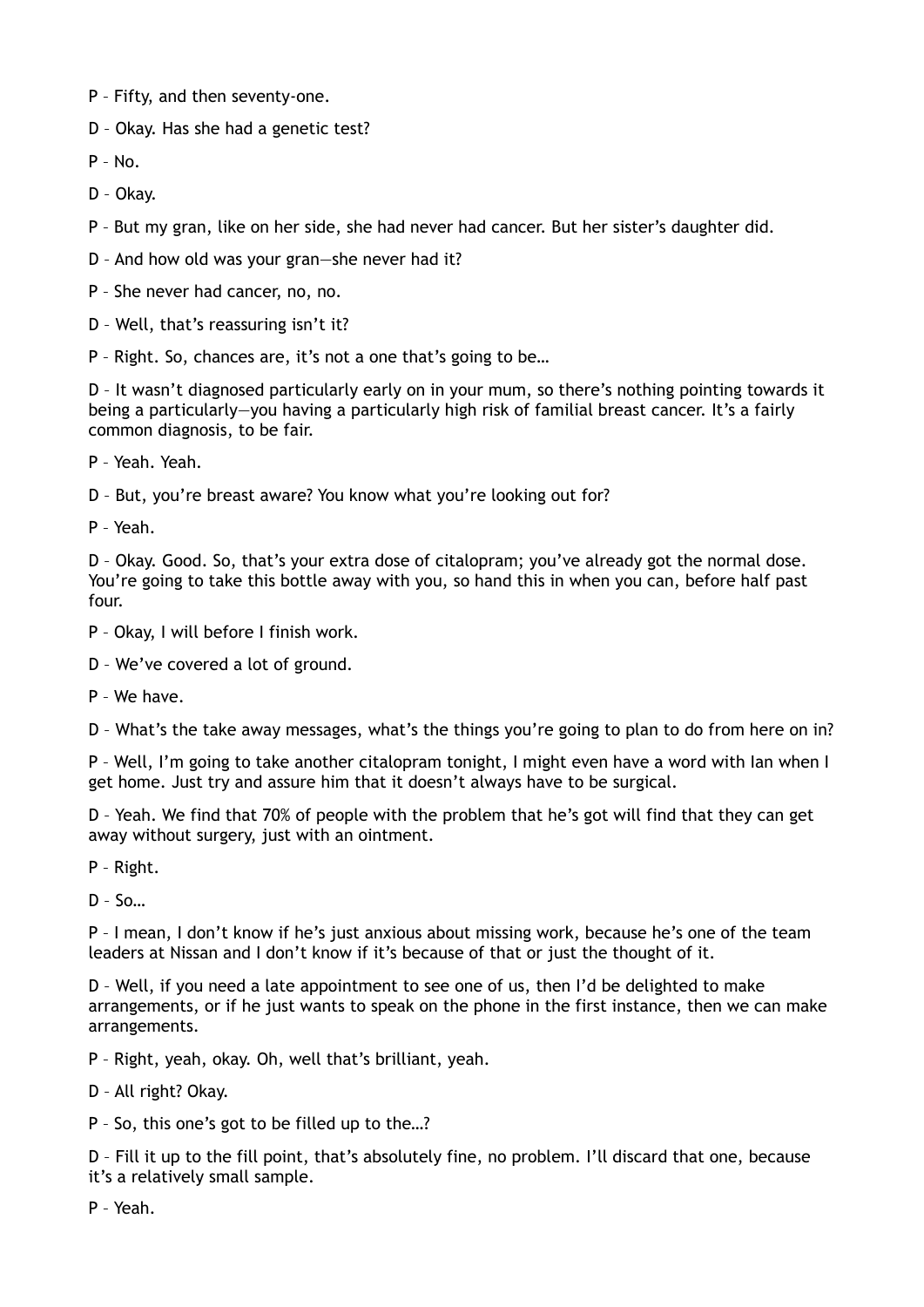- P Fifty, and then seventy-one.
- D Okay. Has she had a genetic test?
- P No.
- D Okay.
- P But my gran, like on her side, she had never had cancer. But her sister's daughter did.
- D And how old was your gran—she never had it?
- P She never had cancer, no, no.
- D Well, that's reassuring isn't it?
- P Right. So, chances are, it's not a one that's going to be…

D – It wasn't diagnosed particularly early on in your mum, so there's nothing pointing towards it being a particularly—you having a particularly high risk of familial breast cancer. It's a fairly common diagnosis, to be fair.

- P Yeah. Yeah.
- D But, you're breast aware? You know what you're looking out for?

P – Yeah.

D – Okay. Good. So, that's your extra dose of citalopram; you've already got the normal dose. You're going to take this bottle away with you, so hand this in when you can, before half past four.

- P Okay, I will before I finish work.
- D We've covered a lot of ground.
- P We have.

D – What's the take away messages, what's the things you're going to plan to do from here on in?

P – Well, I'm going to take another citalopram tonight, I might even have a word with Ian when I get home. Just try and assure him that it doesn't always have to be surgical.

D – Yeah. We find that 70% of people with the problem that he's got will find that they can get away without surgery, just with an ointment.

P – Right.

 $D - S$ o…

P – I mean, I don't know if he's just anxious about missing work, because he's one of the team leaders at Nissan and I don't know if it's because of that or just the thought of it.

D – Well, if you need a late appointment to see one of us, then I'd be delighted to make arrangements, or if he just wants to speak on the phone in the first instance, then we can make arrangements.

- P Right, yeah, okay. Oh, well that's brilliant, yeah.
- D All right? Okay.
- P So, this one's got to be filled up to the…?

D – Fill it up to the fill point, that's absolutely fine, no problem. I'll discard that one, because it's a relatively small sample.

P – Yeah.